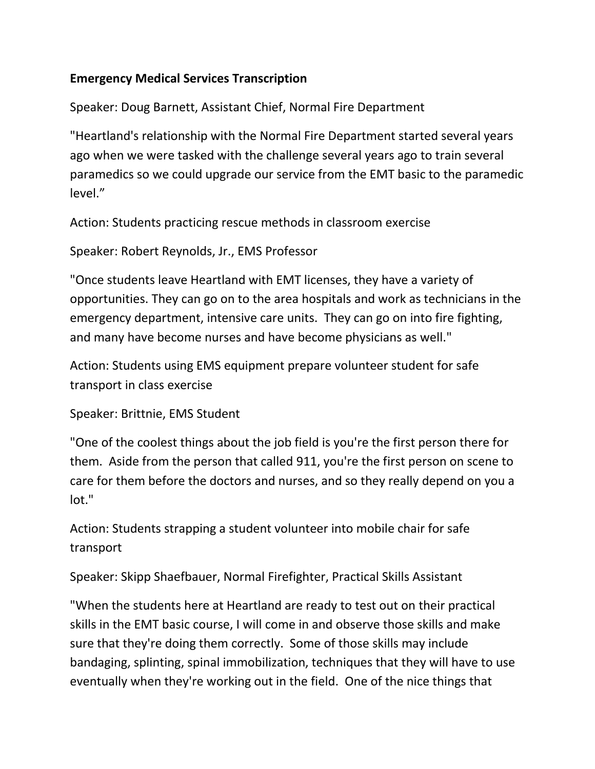## **Emergency Medical Services Transcription**

Speaker: Doug Barnett, Assistant Chief, Normal Fire Department

"Heartland's relationship with the Normal Fire Department started several years ago when we were tasked with the challenge several years ago to train several paramedics so we could upgrade our service from the EMT basic to the paramedic level."

Action: Students practicing rescue methods in classroom exercise

Speaker: Robert Reynolds, Jr., EMS Professor

"Once students leave Heartland with EMT licenses, they have a variety of opportunities. They can go on to the area hospitals and work as technicians in the emergency department, intensive care units. They can go on into fire fighting, and many have become nurses and have become physicians as well."

Action: Students using EMS equipment prepare volunteer student for safe transport in class exercise

Speaker: Brittnie, EMS Student

"One of the coolest things about the job field is you're the first person there for them. Aside from the person that called 911, you're the first person on scene to care for them before the doctors and nurses, and so they really depend on you a lot."

Action: Students strapping a student volunteer into mobile chair for safe transport

Speaker: Skipp Shaefbauer, Normal Firefighter, Practical Skills Assistant

"When the students here at Heartland are ready to test out on their practical skills in the EMT basic course, I will come in and observe those skills and make sure that they're doing them correctly. Some of those skills may include bandaging, splinting, spinal immobilization, techniques that they will have to use eventually when they're working out in the field. One of the nice things that